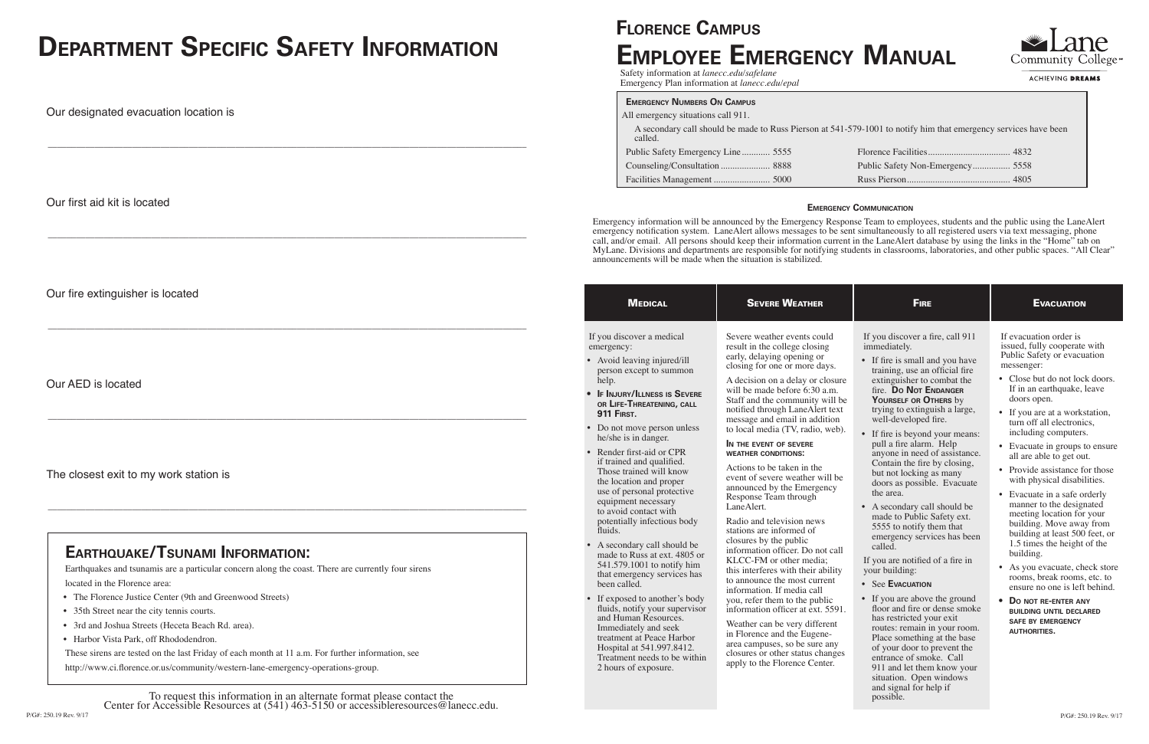| <b>MEDICAL</b>                                                                                                                                                                                                                                                                                                                                                                                                                                                                                                                                                                                                                                                                                                                                                                                                                                                                                             | <b>SEVERE WEATHER</b>                                                                                                                                                                                                                                                                                                                                                                                                                                                                                                                                                                                                                                                                                                                                                                                                                                                                                                                                                                                                                       | <b>FIRE</b>                                                                                                                                                                                                                                                                                                                                                                                                                                                                                                                                                                                                                                                                                                                                                                                                                                                                                                                                                                                               | <b>EVACUATION</b>                                                                                                                                                                                                                                                                                                                                                                                                                                                                                                                                                                                                                                                                                                                                                                                                         |
|------------------------------------------------------------------------------------------------------------------------------------------------------------------------------------------------------------------------------------------------------------------------------------------------------------------------------------------------------------------------------------------------------------------------------------------------------------------------------------------------------------------------------------------------------------------------------------------------------------------------------------------------------------------------------------------------------------------------------------------------------------------------------------------------------------------------------------------------------------------------------------------------------------|---------------------------------------------------------------------------------------------------------------------------------------------------------------------------------------------------------------------------------------------------------------------------------------------------------------------------------------------------------------------------------------------------------------------------------------------------------------------------------------------------------------------------------------------------------------------------------------------------------------------------------------------------------------------------------------------------------------------------------------------------------------------------------------------------------------------------------------------------------------------------------------------------------------------------------------------------------------------------------------------------------------------------------------------|-----------------------------------------------------------------------------------------------------------------------------------------------------------------------------------------------------------------------------------------------------------------------------------------------------------------------------------------------------------------------------------------------------------------------------------------------------------------------------------------------------------------------------------------------------------------------------------------------------------------------------------------------------------------------------------------------------------------------------------------------------------------------------------------------------------------------------------------------------------------------------------------------------------------------------------------------------------------------------------------------------------|---------------------------------------------------------------------------------------------------------------------------------------------------------------------------------------------------------------------------------------------------------------------------------------------------------------------------------------------------------------------------------------------------------------------------------------------------------------------------------------------------------------------------------------------------------------------------------------------------------------------------------------------------------------------------------------------------------------------------------------------------------------------------------------------------------------------------|
| If you discover a medical<br>emergency:<br>• Avoid leaving injured/ill<br>person except to summon<br>help.<br><b>IF INJURY/ILLNESS IS SEVERE</b><br>$\bullet$<br>OR LIFE-THREATENING, CALL<br><b>911 FIRST.</b><br>• Do not move person unless<br>he/she is in danger.<br>Render first-aid or CPR<br>if trained and qualified.<br>Those trained will know<br>the location and proper<br>use of personal protective<br>equipment necessary<br>to avoid contact with<br>potentially infectious body<br>fluids.<br>A secondary call should be<br>$\bullet$<br>made to Russ at ext. 4805 or<br>541.579.1001 to notify him<br>that emergency services has<br>been called.<br>• If exposed to another's body<br>fluids, notify your supervisor<br>and Human Resources.<br>Immediately and seek<br>treatment at Peace Harbor<br>Hospital at 541.997.8412.<br>Treatment needs to be within<br>2 hours of exposure. | Severe weather events could<br>result in the college closing<br>early, delaying opening or<br>closing for one or more days.<br>A decision on a delay or closure<br>will be made before 6:30 a.m.<br>Staff and the community will be<br>notified through LaneAlert text<br>message and email in addition<br>to local media (TV, radio, web).<br>IN THE EVENT OF SEVERE<br><b>WEATHER CONDITIONS:</b><br>Actions to be taken in the<br>event of severe weather will be<br>announced by the Emergency<br>Response Team through<br>LaneAlert.<br>Radio and television news<br>stations are informed of<br>closures by the public<br>information officer. Do not call<br>KLCC-FM or other media;<br>this interferes with their ability<br>to announce the most current<br>information. If media call<br>you, refer them to the public<br>information officer at ext. 5591.<br>Weather can be very different<br>in Florence and the Eugene-<br>area campuses, so be sure any<br>closures or other status changes<br>apply to the Florence Center. | If you discover a fire, call 911<br>immediately.<br>• If fire is small and you have<br>training, use an official fire<br>extinguisher to combat the<br>fire. Do Not ENDANGER<br>YOURSELF OR OTHERS by<br>trying to extinguish a large,<br>well-developed fire.<br>• If fire is beyond your means:<br>pull a fire alarm. Help<br>anyone in need of assistance.<br>Contain the fire by closing,<br>but not locking as many<br>doors as possible. Evacuate<br>the area.<br>• A secondary call should be<br>made to Public Safety ext.<br>5555 to notify them that<br>emergency services has been<br>called.<br>If you are notified of a fire in<br>your building:<br>• See EVACUATION<br>• If you are above the ground<br>floor and fire or dense smoke<br>has restricted your exit<br>routes: remain in your room.<br>Place something at the base<br>of your door to prevent the<br>entrance of smoke. Call<br>911 and let them know your<br>situation. Open windows<br>and signal for help if<br>possible. | If evacuation order is<br>issued, fully cooperate with<br>Public Safety or evacuation<br>messenger:<br>• Close but do not lock doors.<br>If in an earthquake, leave<br>doors open.<br>• If you are at a workstation,<br>turn off all electronics,<br>including computers.<br>• Evacuate in groups to ensure<br>all are able to get out.<br>• Provide assistance for those<br>with physical disabilities.<br>• Evacuate in a safe orderly<br>manner to the designated<br>meeting location for your<br>building. Move away from<br>building at least 500 feet, or<br>1.5 times the height of the<br>building.<br>• As you evacuate, check store<br>rooms, break rooms, etc. to<br>ensure no one is left behind.<br>DO NOT RE-ENTER ANY<br><b>BUILDING UNTIL DECLARED</b><br><b>SAFE BY EMERGENCY</b><br><b>AUTHORITIES.</b> |

- The Florence Justice Center (9th and Greenwood Streets)
- 35th Street near the city tennis courts.
- 3rd and Joshua Streets (Heceta Beach Rd. area).
- Harbor Vista Park, off Rhododendron.

## **Florence Campus Employee Emergency Manual**

Safety information at *lanecc.edu/safelane* Emergency Plan information at *lanecc.edu/epal*

#### **Emergency Communication**

Emergency information will be announced by the Emergency Response Team to employees, students and the public using the LaneAlert emergency notification system. LaneAlert allows messages to be sent simultaneously to all registered users via text messaging, phone call, and/or email. All persons should keep their information current in the LaneAlert database by using the links in the "Home" tab on MyLane. Divisions and departments are responsible for notifying students in classrooms, laboratories, and other public spaces. "All Clear" announcements will be made when the situation is stabilized.

### **Emergency Numbers On Campus**

| All emergency situations call 911.                                                                                         |                                  |
|----------------------------------------------------------------------------------------------------------------------------|----------------------------------|
| A secondary call should be made to Russ Pierson at 541-579-1001 to notify him that emergency services have been<br>called. |                                  |
| Public Safety Emergency Line 5555                                                                                          |                                  |
|                                                                                                                            | Public Safety Non-Emergency 5558 |
|                                                                                                                            |                                  |

# **Department Specific Safety Information**

Our designated evacuation location is

\_\_\_\_\_\_\_\_\_\_\_\_\_\_\_\_\_\_\_\_\_\_\_\_\_\_\_\_\_\_\_\_\_\_\_\_\_\_\_\_\_\_\_\_\_\_\_\_\_\_\_\_\_\_\_\_\_\_\_\_\_\_\_\_\_\_\_\_\_\_\_\_\_\_\_\_\_\_\_\_\_\_\_\_\_\_\_\_\_\_\_\_\_\_\_\_\_\_\_\_\_\_

Our first aid kit is located

\_\_\_\_\_\_\_\_\_\_\_\_\_\_\_\_\_\_\_\_\_\_\_\_\_\_\_\_\_\_\_\_\_\_\_\_\_\_\_\_\_\_\_\_\_\_\_\_\_\_\_\_\_\_\_\_\_\_\_\_\_\_\_\_\_\_\_\_\_\_\_\_\_\_\_\_\_\_\_\_\_\_\_\_\_\_\_\_\_\_\_\_\_\_\_\_\_\_\_\_\_\_

Our fire extinguisher is located

\_\_\_\_\_\_\_\_\_\_\_\_\_\_\_\_\_\_\_\_\_\_\_\_\_\_\_\_\_\_\_\_\_\_\_\_\_\_\_\_\_\_\_\_\_\_\_\_\_\_\_\_\_\_\_\_\_\_\_\_\_\_\_\_\_\_\_\_\_\_\_\_\_\_\_\_\_\_\_\_\_\_\_\_\_\_\_\_\_\_\_\_\_\_\_\_\_\_\_\_\_\_

Our AED is located

\_\_\_\_\_\_\_\_\_\_\_\_\_\_\_\_\_\_\_\_\_\_\_\_\_\_\_\_\_\_\_\_\_\_\_\_\_\_\_\_\_\_\_\_\_\_\_\_\_\_\_\_\_\_\_\_\_\_\_\_\_\_\_\_\_\_\_\_\_\_\_\_\_\_\_\_\_\_\_\_\_\_\_\_\_\_\_\_\_\_\_\_\_\_\_\_\_\_\_\_\_\_

The closest exit to my work station is

\_\_\_\_\_\_\_\_\_\_\_\_\_\_\_\_\_\_\_\_\_\_\_\_\_\_\_\_\_\_\_\_\_\_\_\_\_\_\_\_\_\_\_\_\_\_\_\_\_\_\_\_\_\_\_\_\_\_\_\_\_\_\_\_\_\_\_\_\_\_\_\_\_\_\_\_\_\_\_\_\_\_\_\_\_\_\_\_\_\_\_\_\_\_\_\_\_\_\_\_\_\_



**ACHIEVING DREAMS** 

## **Earthquake/Tsunami Information:**

Earthquakes and tsunamis are a particular concern along the coast. There are currently four sirens located in the Florence area:

These sirens are tested on the last Friday of each month at 11 a.m. For further information, see

http://www.ci.florence.or.us/community/western-lane-emergency-operations-group.

To request this information in an alternate format please contact the Center for Accessible Resources at (541) 463-5150 or accessibleresources@lanecc.edu.